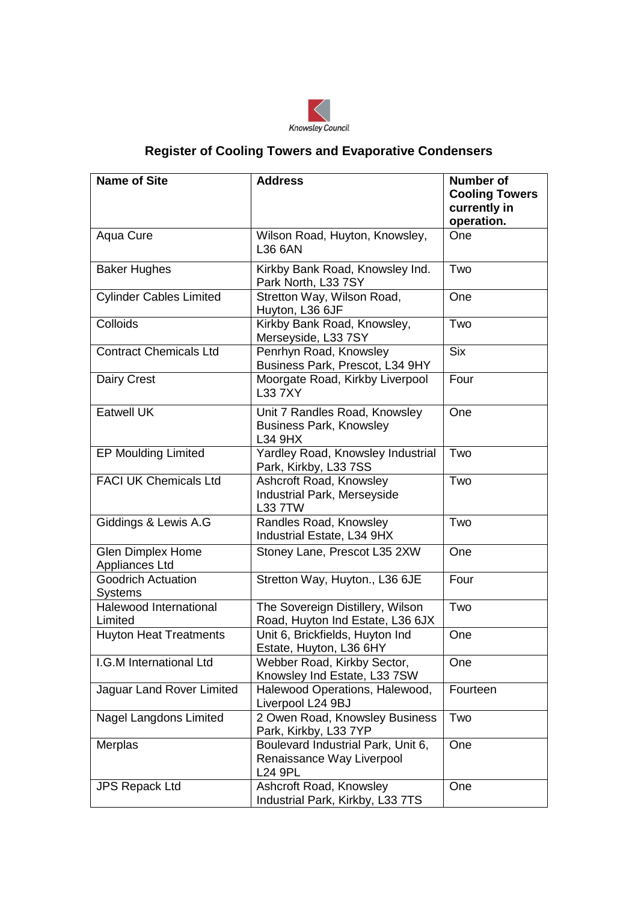

## **Register of Cooling Towers and Evaporative Condensers**

| <b>Name of Site</b>                         | <b>Address</b>                                                                    | <b>Number of</b><br><b>Cooling Towers</b> |
|---------------------------------------------|-----------------------------------------------------------------------------------|-------------------------------------------|
|                                             |                                                                                   | currently in<br>operation.                |
| Aqua Cure                                   | Wilson Road, Huyton, Knowsley,<br>L36 6AN                                         | One                                       |
| <b>Baker Hughes</b>                         | Kirkby Bank Road, Knowsley Ind.<br>Park North, L33 7SY                            | Two                                       |
| <b>Cylinder Cables Limited</b>              | Stretton Way, Wilson Road,<br>Huyton, L36 6JF                                     | One                                       |
| Colloids                                    | Kirkby Bank Road, Knowsley,<br>Merseyside, L33 7SY                                | Two                                       |
| <b>Contract Chemicals Ltd</b>               | Penrhyn Road, Knowsley<br>Business Park, Prescot, L34 9HY                         | <b>Six</b>                                |
| <b>Dairy Crest</b>                          | Moorgate Road, Kirkby Liverpool<br>L33 7XY                                        | Four                                      |
| <b>Eatwell UK</b>                           | Unit 7 Randles Road, Knowsley<br><b>Business Park, Knowsley</b><br>L34 9HX        | One                                       |
| EP Moulding Limited                         | Yardley Road, Knowsley Industrial<br>Park, Kirkby, L33 7SS                        | Two                                       |
| <b>FACI UK Chemicals Ltd</b>                | Ashcroft Road, Knowsley<br>Industrial Park, Merseyside<br><b>L33 7TW</b>          | Two                                       |
| Giddings & Lewis A.G                        | Randles Road, Knowsley<br>Industrial Estate, L34 9HX                              | Two                                       |
| <b>Glen Dimplex Home</b><br>Appliances Ltd  | Stoney Lane, Prescot L35 2XW                                                      | One                                       |
| <b>Goodrich Actuation</b><br><b>Systems</b> | Stretton Way, Huyton., L36 6JE                                                    | Four                                      |
| Halewood International<br>Limited           | The Sovereign Distillery, Wilson<br>Road, Huyton Ind Estate, L36 6JX              | Two                                       |
| <b>Huyton Heat Treatments</b>               | Unit 6, Brickfields, Huyton Ind<br>Estate, Huyton, L36 6HY                        | One                                       |
| I.G.M International Ltd                     | Webber Road, Kirkby Sector,<br>Knowsley Ind Estate, L33 7SW                       | One                                       |
| Jaguar Land Rover Limited                   | Halewood Operations, Halewood,<br>Liverpool L24 9BJ                               | Fourteen                                  |
| <b>Nagel Langdons Limited</b>               | 2 Owen Road, Knowsley Business<br>Park, Kirkby, L33 7YP                           | Two                                       |
| Merplas                                     | Boulevard Industrial Park, Unit 6,<br>Renaissance Way Liverpool<br><b>L24 9PL</b> | One                                       |
| <b>JPS Repack Ltd</b>                       | Ashcroft Road, Knowsley<br>Industrial Park, Kirkby, L33 7TS                       | One                                       |